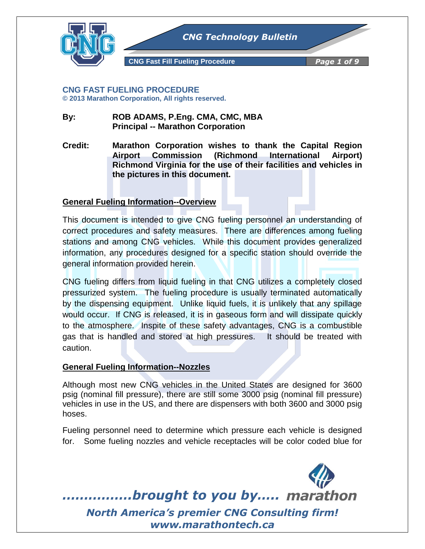

#### **CNG FAST FUELING PROCEDURE © 2013 Marathon Corporation, All rights reserved.**

### **By: ROB ADAMS, P.Eng. CMA, CMC, MBA Principal -- Marathon Corporation**

**Credit: Marathon Corporation wishes to thank the Capital Region Airport Commission (Richmond International Airport) Richmond Virginia for the use of their facilities and vehicles in the pictures in this document.**

# **General Fueling Information--Overview**

This document is intended to give CNG fueling personnel an understanding of correct procedures and safety measures. There are differences among fueling stations and among CNG vehicles. While this document provides generalized information, any procedures designed for a specific station should override the general information provided herein.

CNG fueling differs from liquid fueling in that CNG utilizes a completely closed pressurized system. The fueling procedure is usually terminated automatically by the dispensing equipment. Unlike liquid fuels, it is unlikely that any spillage would occur. If CNG is released, it is in gaseous form and will dissipate quickly to the atmosphere. Inspite of these safety advantages, CNG is a combustible gas that is handled and stored at high pressures. It should be treated with caution.

# **General Fueling Information--Nozzles**

Although most new CNG vehicles in the United States are designed for 3600 psig (nominal fill pressure), there are still some 3000 psig (nominal fill pressure) vehicles in use in the US, and there are dispensers with both 3600 and 3000 psig hoses.

Fueling personnel need to determine which pressure each vehicle is designed for. Some fueling nozzles and vehicle receptacles will be color coded blue for

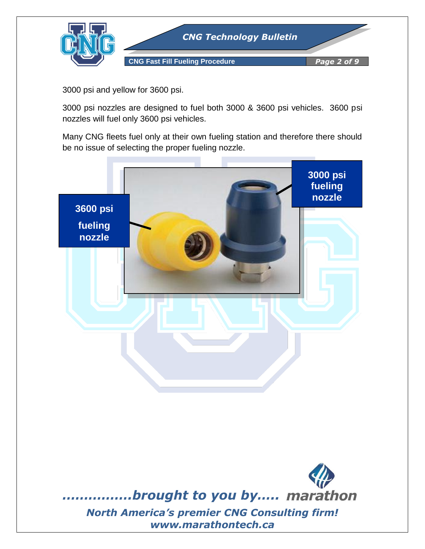

3000 psi and yellow for 3600 psi.

3000 psi nozzles are designed to fuel both 3000 & 3600 psi vehicles. 3600 psi nozzles will fuel only 3600 psi vehicles.

Many CNG fleets fuel only at their own fueling station and therefore there should be no issue of selecting the proper fueling nozzle.

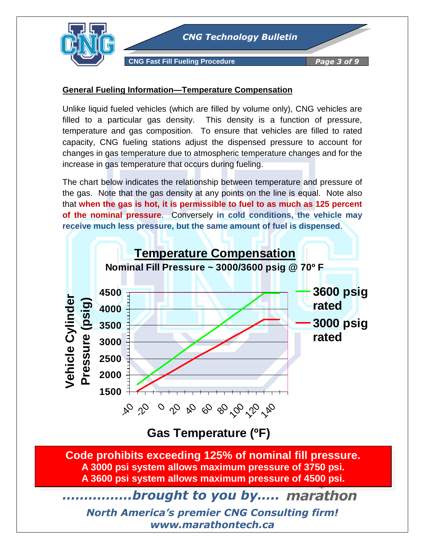

**CNG Fast Fill Fueling Procedure** *Page 3 of 9*

### **General Fueling Information—Temperature Compensation**

Unlike liquid fueled vehicles (which are filled by volume only), CNG vehicles are filled to a particular gas density. This density is a function of pressure, temperature and gas composition. To ensure that vehicles are filled to rated capacity, CNG fueling stations adjust the dispensed pressure to account for changes in gas temperature due to atmospheric temperature changes and for the increase in gas temperature that occurs during fueling.

The chart below indicates the relationship between temperature and pressure of the gas. Note that the gas density at any points on the line is equal. Note also that **when the gas is hot, it is permissible to fuel to as much as 125 percent of the nominal pressure**. Conversely **in cold conditions, the vehicle may receive much less pressure, but the same amount of fuel is dispensed**.



**Gas Temperature (ºF)** 

**Code prohibits exceeding 125% of nominal fill pressure. A 3000 psi system allows maximum pressure of 3750 psi. A 3600 psi system allows maximum pressure of 4500 psi.**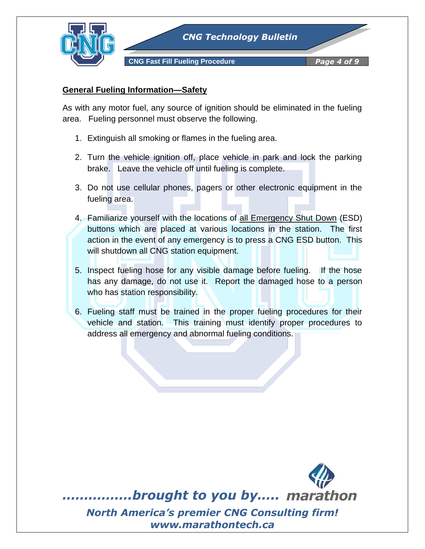

# **General Fueling Information—Safety**

As with any motor fuel, any source of ignition should be eliminated in the fueling area. Fueling personnel must observe the following.

- 1. Extinguish all smoking or flames in the fueling area.
- 2. Turn the vehicle ignition off, place vehicle in park and lock the parking brake. Leave the vehicle off until fueling is complete.
- 3. Do not use cellular phones, pagers or other electronic equipment in the fueling area.
- 4. Familiarize yourself with the locations of all Emergency Shut Down (ESD) buttons which are placed at various locations in the station. The first action in the event of any emergency is to press a CNG ESD button. This will shutdown all CNG station equipment.
- 5. Inspect fueling hose for any visible damage before fueling. If the hose has any damage, do not use it. Report the damaged hose to a person who has station responsibility.
- 6. Fueling staff must be trained in the proper fueling procedures for their vehicle and station. This training must identify proper procedures to address all emergency and abnormal fueling conditions.

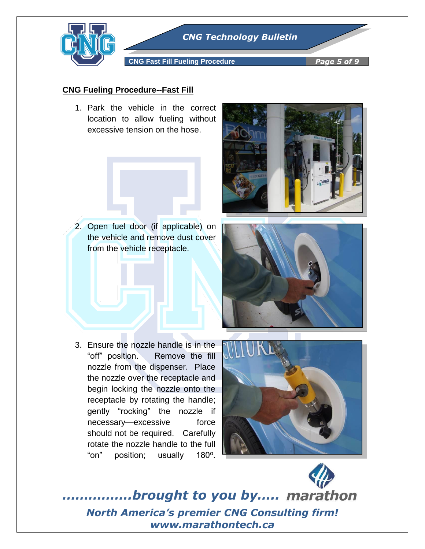

*CNG Technology Bulletin*

**CNG Fast Fill Fueling Procedure** *Page 5 of 9*

#### **CNG Fueling Procedure--Fast Fill**

1. Park the vehicle in the correct location to allow fueling without excessive tension on the hose.



2. Open fuel door (if applicable) on the vehicle and remove dust cover from the vehicle receptacle.





3. Ensure the nozzle handle is in the "off" position. Remove the fill nozzle from the dispenser. Place the nozzle over the receptacle and begin locking the nozzle onto the receptacle by rotating the handle; gently "rocking" the nozzle if necessary—excessive force should not be required. Carefully rotate the nozzle handle to the full "on" position; usually 180º.

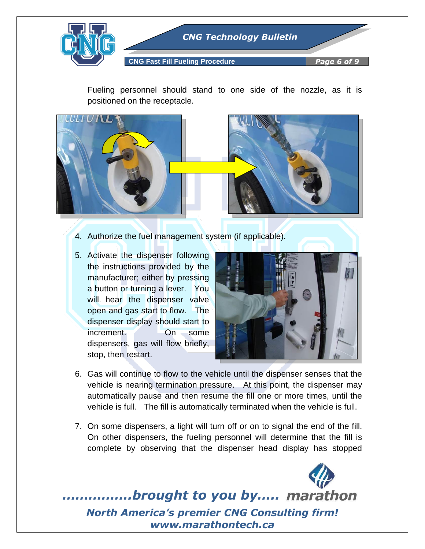

Fueling personnel should stand to one side of the nozzle, as it is positioned on the receptacle.



- 4. Authorize the fuel management system (if applicable).
- 5. Activate the dispenser following the instructions provided by the manufacturer; either by pressing a button or turning a lever. You will hear the dispenser valve open and gas start to flow. The dispenser display should start to increment. On some dispensers, gas will flow briefly, stop, then restart.



- 6. Gas will continue to flow to the vehicle until the dispenser senses that the vehicle is nearing termination pressure. At this point, the dispenser may automatically pause and then resume the fill one or more times, until the vehicle is full. The fill is automatically terminated when the vehicle is full.
- 7. On some dispensers, a light will turn off or on to signal the end of the fill. On other dispensers, the fueling personnel will determine that the fill is complete by observing that the dispenser head display has stopped

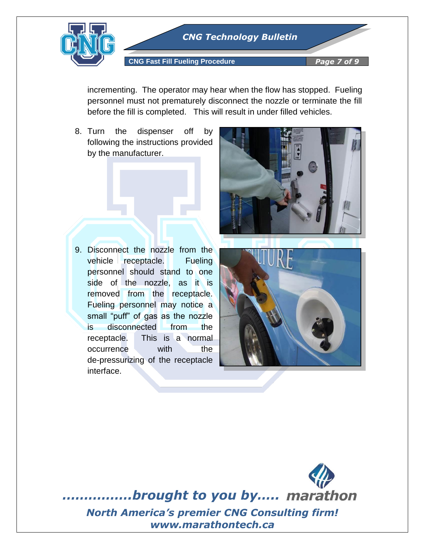

incrementing. The operator may hear when the flow has stopped. Fueling personnel must not prematurely disconnect the nozzle or terminate the fill before the fill is completed. This will result in under filled vehicles.

8. Turn the dispenser off by following the instructions provided by the manufacturer.



9. Disconnect the nozzle from the vehicle receptacle. Fueling personnel should stand to one side of the nozzle, as it is removed from the receptacle. Fueling personnel may notice a small "puff" of gas as the nozzle is disconnected from the receptacle. This is a normal occurrence with the de-pressurizing of the receptacle interface.



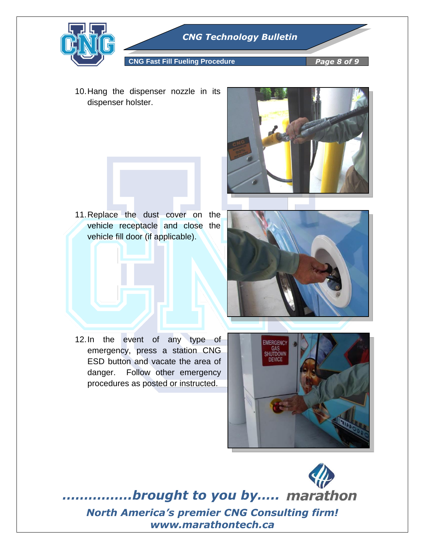

**CNG Fast Fill Fueling Procedure** *Page 8 of 9*

10.Hang the dispenser nozzle in its dispenser holster.



11.Replace the dust cover on the vehicle receptacle and close the vehicle fill door (if applicable).



12.In the event of any type of emergency, press a station CNG ESD button and vacate the area of danger. Follow other emergency procedures as posted or instructed.